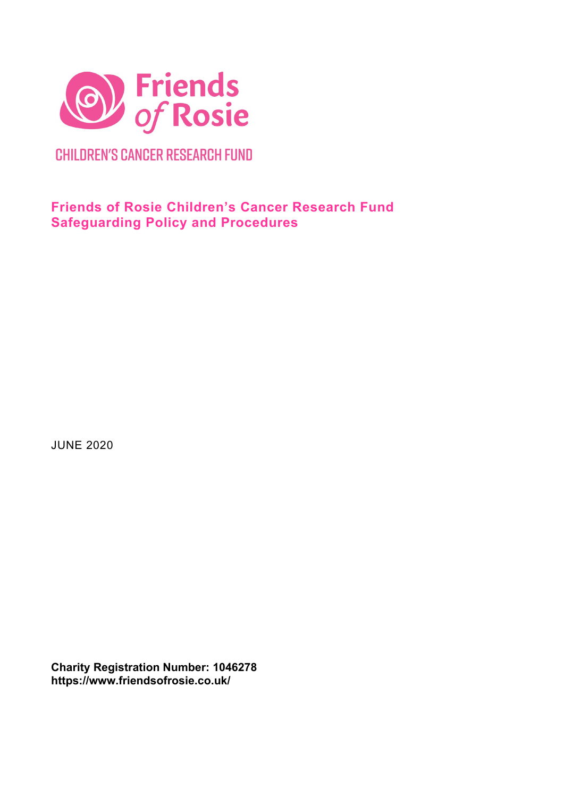

**CHILDREN'S CANCER RESEARCH FUND** 

# **Friends of Rosie Children's Cancer Research Fund Safeguarding Policy and Procedures**

JUNE 2020

**Charity Registration Number: 1046278 https://www.friendsofrosie.co.uk/**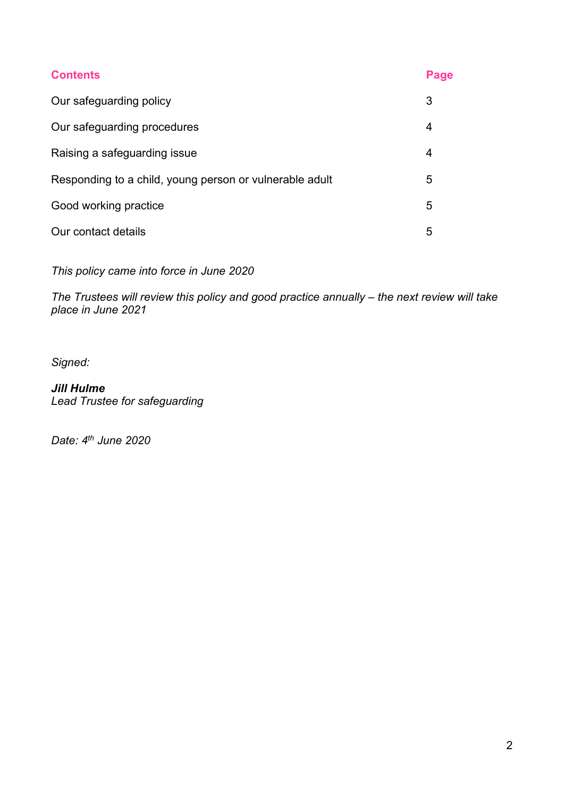| <b>Contents</b>                                         | Page |
|---------------------------------------------------------|------|
| Our safeguarding policy                                 | 3    |
| Our safeguarding procedures                             | 4    |
| Raising a safeguarding issue                            | 4    |
| Responding to a child, young person or vulnerable adult |      |
| Good working practice                                   |      |
| Our contact details                                     | 5    |

*This policy came into force in June 2020*

*The Trustees will review this policy and good practice annually – the next review will take place in June 2021*

*Signed:*

*Jill Hulme Lead Trustee for safeguarding*

*Date: 4th June 2020*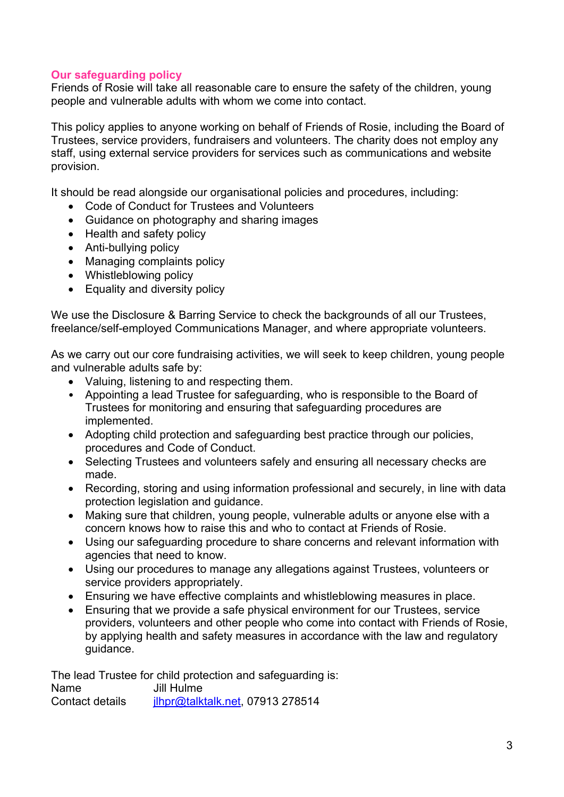## **Our safeguarding policy**

Friends of Rosie will take all reasonable care to ensure the safety of the children, young people and vulnerable adults with whom we come into contact.

This policy applies to anyone working on behalf of Friends of Rosie, including the Board of Trustees, service providers, fundraisers and volunteers. The charity does not employ any staff, using external service providers for services such as communications and website provision.

It should be read alongside our organisational policies and procedures, including:

- Code of Conduct for Trustees and Volunteers
- Guidance on photography and sharing images
- Health and safety policy
- Anti-bullying policy
- Managing complaints policy
- Whistleblowing policy
- Equality and diversity policy

We use the Disclosure & Barring Service to check the backgrounds of all our Trustees, freelance/self-employed Communications Manager, and where appropriate volunteers.

As we carry out our core fundraising activities, we will seek to keep children, young people and vulnerable adults safe by:

- Valuing, listening to and respecting them.
- Appointing a lead Trustee for safeguarding, who is responsible to the Board of Trustees for monitoring and ensuring that safeguarding procedures are implemented.
- Adopting child protection and safeguarding best practice through our policies, procedures and Code of Conduct.
- Selecting Trustees and volunteers safely and ensuring all necessary checks are made.
- Recording, storing and using information professional and securely, in line with data protection legislation and guidance.
- Making sure that children, young people, vulnerable adults or anyone else with a concern knows how to raise this and who to contact at Friends of Rosie.
- Using our safeguarding procedure to share concerns and relevant information with agencies that need to know.
- Using our procedures to manage any allegations against Trustees, volunteers or service providers appropriately.
- Ensuring we have effective complaints and whistleblowing measures in place.
- Ensuring that we provide a safe physical environment for our Trustees, service providers, volunteers and other people who come into contact with Friends of Rosie, by applying health and safety measures in accordance with the law and regulatory guidance.

The lead Trustee for child protection and safeguarding is: Name Jill Hulme Contact details [jlhpr@talktalk.net,](mailto:jlhpr@talktalk.net) 07913 278514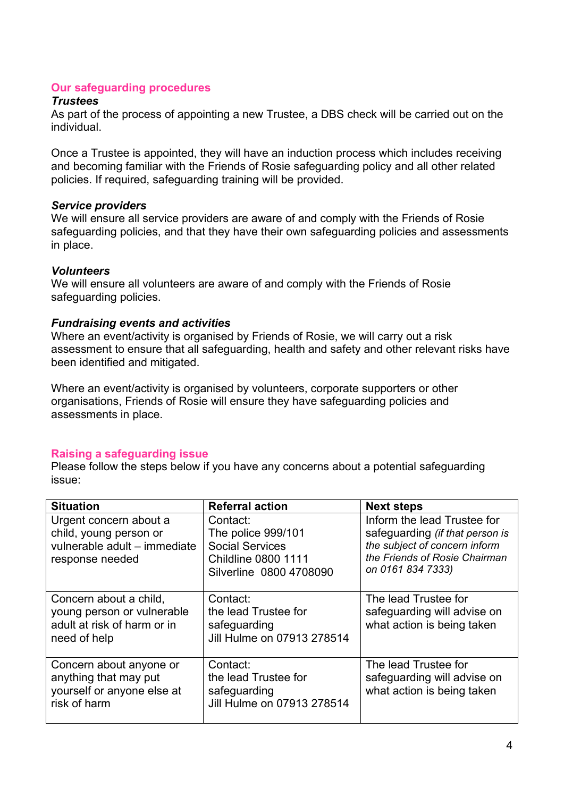## **Our safeguarding procedures**

## *Trustees*

As part of the process of appointing a new Trustee, a DBS check will be carried out on the individual.

Once a Trustee is appointed, they will have an induction process which includes receiving and becoming familiar with the Friends of Rosie safeguarding policy and all other related policies. If required, safeguarding training will be provided.

## *Service providers*

We will ensure all service providers are aware of and comply with the Friends of Rosie safeguarding policies, and that they have their own safeguarding policies and assessments in place.

## *Volunteers*

We will ensure all volunteers are aware of and comply with the Friends of Rosie safeguarding policies.

## *Fundraising events and activities*

Where an event/activity is organised by Friends of Rosie, we will carry out a risk assessment to ensure that all safeguarding, health and safety and other relevant risks have been identified and mitigated.

Where an event/activity is organised by volunteers, corporate supporters or other organisations, Friends of Rosie will ensure they have safeguarding policies and assessments in place.

## **Raising a safeguarding issue**

Please follow the steps below if you have any concerns about a potential safeguarding issue:

| <b>Situation</b>                                                                                    | <b>Referral action</b>                                                                                            | <b>Next steps</b>                                                                                                                                     |
|-----------------------------------------------------------------------------------------------------|-------------------------------------------------------------------------------------------------------------------|-------------------------------------------------------------------------------------------------------------------------------------------------------|
| Urgent concern about a<br>child, young person or<br>vulnerable adult - immediate<br>response needed | Contact:<br>The police 999/101<br><b>Social Services</b><br><b>Childline 0800 1111</b><br>Silverline 0800 4708090 | Inform the lead Trustee for<br>safeguarding (if that person is<br>the subject of concern inform<br>the Friends of Rosie Chairman<br>on 0161 834 7333) |
| Concern about a child,<br>young person or vulnerable<br>adult at risk of harm or in<br>need of help | Contact:<br>the lead Trustee for<br>safeguarding<br>Jill Hulme on 07913 278514                                    | The lead Trustee for<br>safeguarding will advise on<br>what action is being taken                                                                     |
| Concern about anyone or<br>anything that may put<br>yourself or anyone else at<br>risk of harm      | Contact:<br>the lead Trustee for<br>safeguarding<br>Jill Hulme on 07913 278514                                    | The lead Trustee for<br>safeguarding will advise on<br>what action is being taken                                                                     |